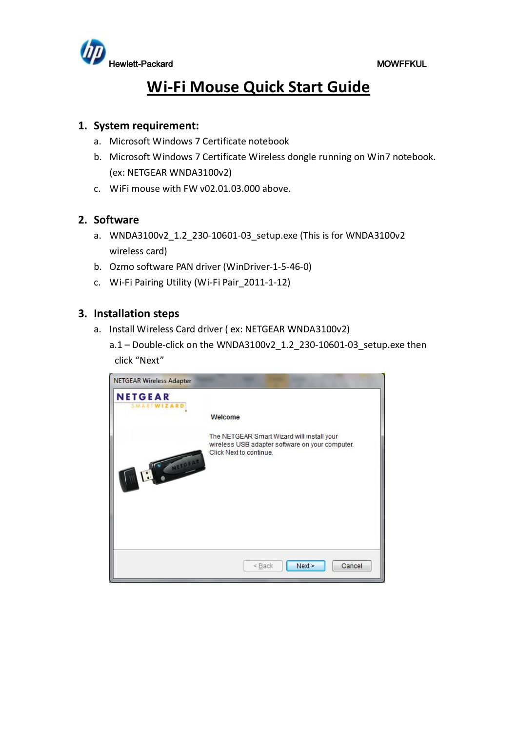

# **Wi-Fi Mouse Quick Start Guide**

## **1. System requirement:**

- a. Microsoft Windows 7 Certificate notebook
- b. Microsoft Windows 7 Certificate Wireless dongle running on Win7 notebook. (ex: NETGEAR WNDA3100v2)
- c. WiFi mouse with FW v02.01.03.000 above.

## **2. Software**

- a. WNDA3100v2 1.2 230-10601-03 setup.exe (This is for WNDA3100v2 wireless card)
- b. Ozmo software PAN driver (WinDriver-1-5-46-0)
- c. Wi-Fi Pairing Utility (Wi-Fi Pair\_2011-1-12)

## **3. Installation steps**

- a. Install Wireless Card driver ( ex: NETGEAR WNDA3100v2)
	- a.1 Double-click on the WNDA3100v2\_1.2\_230-10601-03\_setup.exe then click "Next"

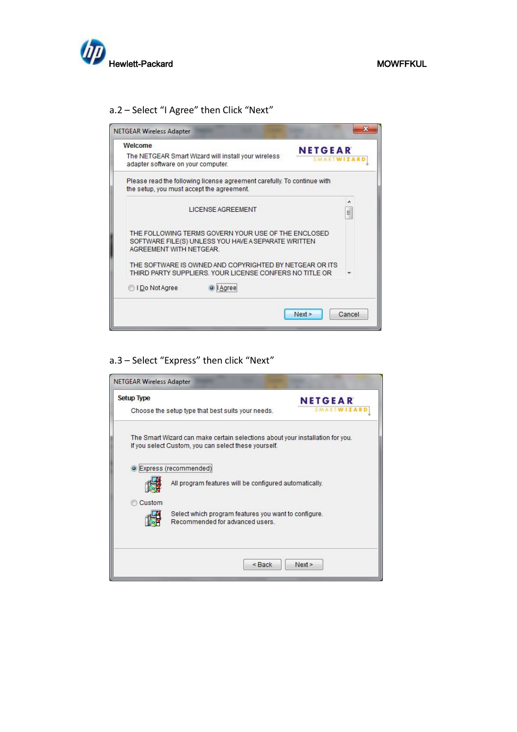

## a.2 – Select "I Agree" then Click "Next"

| Welcome                                   |                                                                                                                    |                |
|-------------------------------------------|--------------------------------------------------------------------------------------------------------------------|----------------|
| adapter software on your computer.        | The NETGEAR Smart Wizard will install your wireless                                                                | <b>NETGEAR</b> |
| the setup, you must accept the agreement. | Please read the following license agreement carefully. To continue with                                            |                |
|                                           | <b>I ICENSE AGREEMENT</b>                                                                                          | Ξ              |
| AGREEMENT WITH NETGEAR.                   | THE FOLLOWING TERMS GOVERN YOUR USE OF THE ENCLOSED<br>SOFTWARE FILE(S) UNLESS YOU HAVE A SEPARATE WRITTEN         |                |
|                                           | THE SOFTWARE IS OWNED AND COPYRIGHTED BY NETGEAR OR ITS<br>THIRD PARTY SUPPLIERS. YOUR LICENSE CONFERS NO TITLE OR |                |
| O I Do Not Agree                          | <b>Agree</b>                                                                                                       |                |
|                                           |                                                                                                                    |                |

## a.3 – Select "Express" then click "Next"

| <b>Setup Type</b> |                                                                                                                                       | <b>NETGEAR</b> |
|-------------------|---------------------------------------------------------------------------------------------------------------------------------------|----------------|
|                   | Choose the setup type that best suits your needs.                                                                                     |                |
|                   | The Smart Wizard can make certain selections about your installation for you.<br>If you select Custom, you can select these yourself. |                |
|                   | · Express (recommended)                                                                                                               |                |
|                   | All program features will be configured automatically.                                                                                |                |
| Custom            |                                                                                                                                       |                |
|                   | Select which program features you want to configure.<br>Recommended for advanced users                                                |                |
|                   |                                                                                                                                       |                |
|                   | $<$ Back                                                                                                                              | Next           |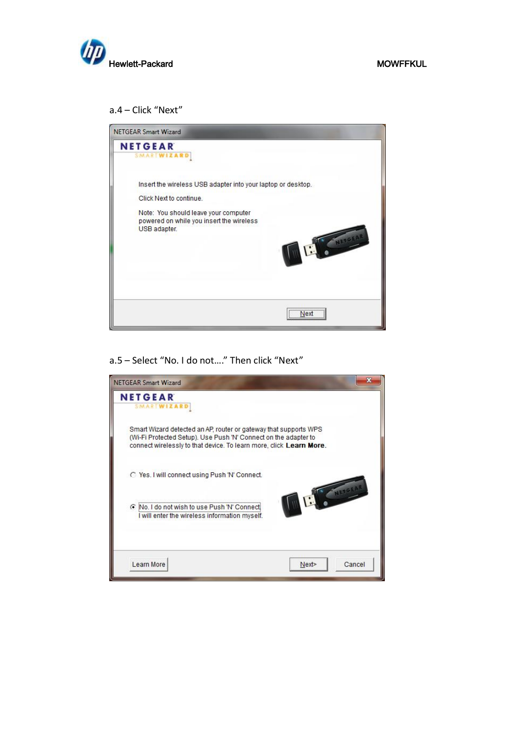

### a.4 – Click "Next"



## a.5 – Select "No. I do not…." Then click "Next"

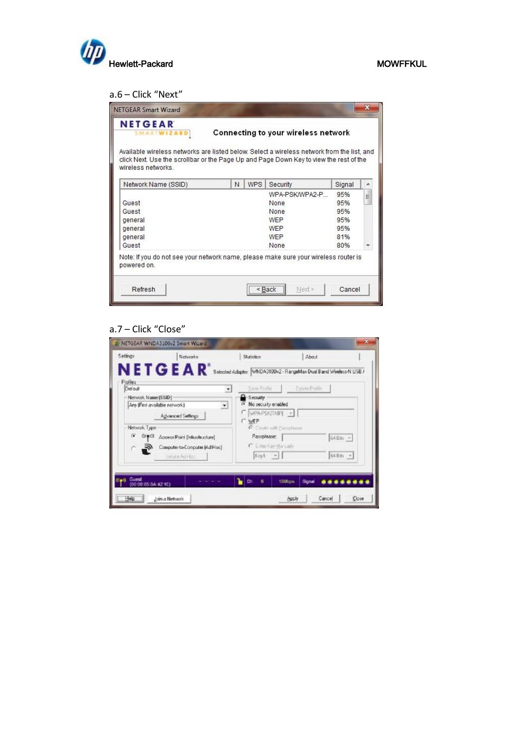

## a.6 – Click "Next"

| <b>SMARTWIZARD</b>                                                                                                                                                                   |   |            | Connecting to your wireless network |        |   |
|--------------------------------------------------------------------------------------------------------------------------------------------------------------------------------------|---|------------|-------------------------------------|--------|---|
| Available wireless networks are listed below. Select a wireless network from the list, and<br>click Next. Use the scrollbar or the Page Up and Page Down Key to view the rest of the |   |            |                                     |        |   |
| wireless networks                                                                                                                                                                    |   |            |                                     |        |   |
| Network Name (SSID)                                                                                                                                                                  | N | <b>WPS</b> | Security                            | Signal | ۸ |
|                                                                                                                                                                                      |   |            | WPA-PSK/WPA2-P                      | 95%    | Ë |
| Guest                                                                                                                                                                                |   |            | None                                | 95%    |   |
| Guest                                                                                                                                                                                |   |            | None                                | 95%    |   |
| general                                                                                                                                                                              |   |            | <b>WFP</b>                          | 95%    |   |
| general                                                                                                                                                                              |   |            | WEP                                 | 95%    |   |
| general                                                                                                                                                                              |   |            | <b>WEP</b>                          | 81%    |   |
| Guest                                                                                                                                                                                |   |            | None                                | 80%    |   |
| Note: if you do not see your network name, please make sure your wireless router is<br>powered on.                                                                                   |   |            |                                     |        |   |

## a.7 – Click "Close"

| NETGEAR <sup>*</sup> Selected Adapter: WNDA3100x2 - RangeMax Dual Band Wiebess-N USB7<br>Delete Finfile |
|---------------------------------------------------------------------------------------------------------|
|                                                                                                         |
|                                                                                                         |
|                                                                                                         |
|                                                                                                         |
| C. Deale with Passphase                                                                                 |
| G4Bits =                                                                                                |
| B4Bm =                                                                                                  |
|                                                                                                         |
| Signal                                                                                                  |
|                                                                                                         |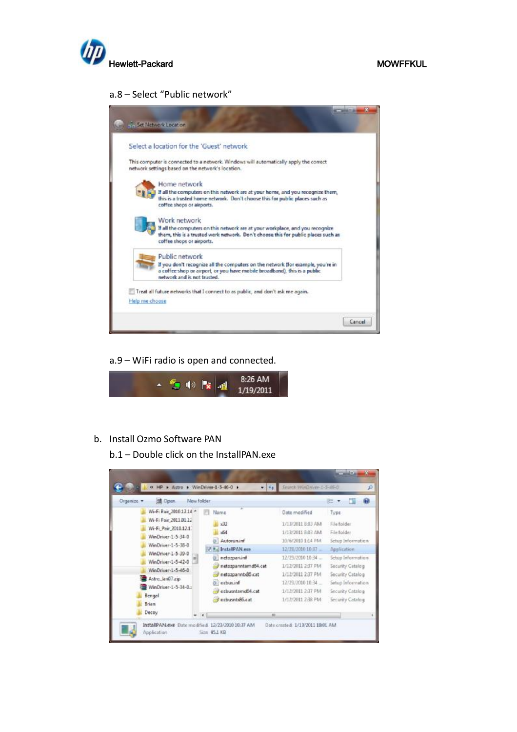

### a.8 – Select "Public network"



### a.9 – WiFi radio is open and connected.



## b. Install Ozmo Software PAN

b.1 – Double click on the InstallPAN.exe

| a HP > Astro > WinDriver-1-5-46-0 >      |            |                     | Search WinDriver-1-5-46-0 |                   |
|------------------------------------------|------------|---------------------|---------------------------|-------------------|
| di Open<br>Organize: v                   | New folder |                     |                           | 日本                |
| Wi-Fi Pair_2010.12.14 *                  |            | ÷<br>Name.          | Date modified             | Type.             |
| Wi-Fi Pair 2011/01/12                    |            | x32                 | 1/13/2011 8:03 AM         | File folder       |
| Wi-Fi Pair 2010.12.17                    |            | x64                 | 1/13/2011 8:03 AM         | File folder       |
| WinDriver-1-5-34-0                       |            | <b>Autorum.inf</b>  | 10/6/2010 1:14 PM         | Setup Information |
| WinDriver-1-5-38-0<br>WinDriver-1-5-39-0 |            | InstallPAN.exe      | 12/23/2010 10:37          | Application       |
| WinDriver-1-5-42-0                       |            | netozparuinf        | 12/23/2010 10:34          | Setup Information |
| WinDriver-1-5-46-0                       |            | netozpanntamd54.cat | 1/12/2011 2:17 PM         | Security Catalog  |
| Astro Jan07.zip                          |            | netozoannb85.cat    | 1/12/2011 2:37 PM         | Security Catalog  |
| WinDriver-1-5-34-0.                      |            | hniasadso           | 12/23/2010 10:34          | Setup Information |
| Bengal                                   |            | ozbusntamd64.cat    | 1/12/2011 2:37 PM         | Security Catalog  |
| Brian                                    |            | ozbusntx86.cat      | 1/12/2011 2:38 PM         | Security Catalog  |
| Decoy                                    |            | m                   |                           |                   |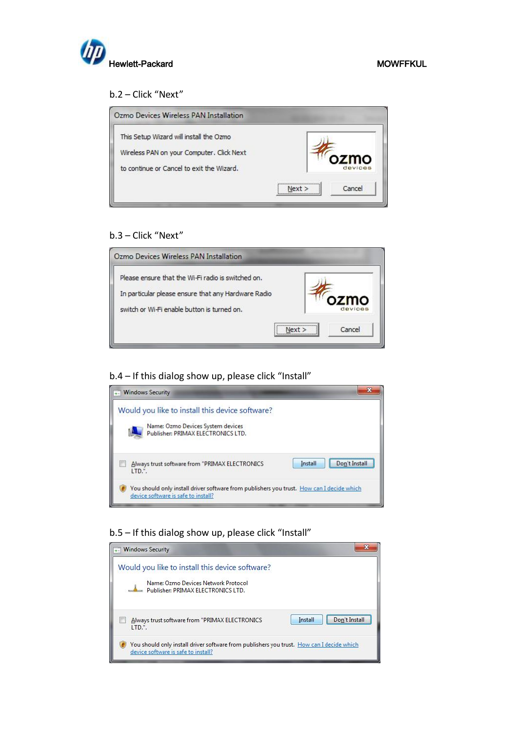

## b.2 – Click "Next"

| This Setup Wizard will install the Ozmo   |                |
|-------------------------------------------|----------------|
| Wireless PAN on your Computer. Click Next | ozmo           |
| to continue or Cancel to exit the Wizard. | devices        |
|                                           | Cancel<br>Next |

## b.3 – Click "Next"

| Ozmo Devices Wireless PAN Installation                                                                                                                   |                  |
|----------------------------------------------------------------------------------------------------------------------------------------------------------|------------------|
| Please ensure that the Wi-Fi radio is switched on.<br>In particular please ensure that any Hardware Radio<br>switch or Wi-Fi enable button is turned on. | ozmo<br>devices  |
|                                                                                                                                                          | Cancel<br>Next > |

b.4 – If this dialog show up, please click "Install"

| - Windows Security                                                                                                               |                                                            |
|----------------------------------------------------------------------------------------------------------------------------------|------------------------------------------------------------|
| Would you like to install this device software?<br>Name: Ozmo Devices System devices<br>Publisher: PRIMAX ELECTRONICS LTD.       |                                                            |
| Always trust software from "PRIMAX ELECTRONICS<br>LTD.".                                                                         | ,,,,,,,,,,,,,,,,,,,,,,,,,,,,,,<br>Don't Install<br>Install |
| You should only install driver software from publishers you trust. How can I decide which<br>device software is safe to install? |                                                            |

## b.5 – If this dialog show up, please click "Install"

| - Windows Security                                                                                                               |                          |
|----------------------------------------------------------------------------------------------------------------------------------|--------------------------|
| Would you like to install this device software?<br>Name: Ozmo Devices Network Protocol<br>Publisher: PRIMAX ELECTRONICS LTD.     |                          |
| Always trust software from "PRIMAX ELECTRONICS<br>LTD.".                                                                         | Install<br>Don't Install |
| You should only install driver software from publishers you trust. How can I decide which<br>device software is safe to install? |                          |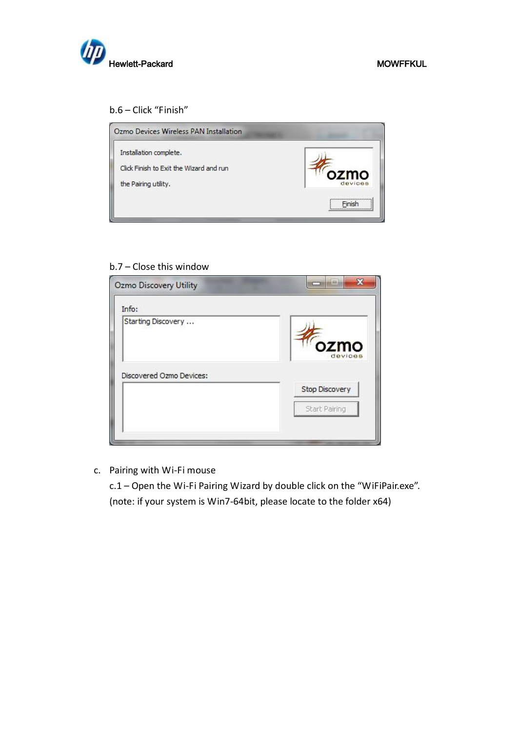

## b.6 – Click "Finish"



## b.7 – Close this window

| Info:                    |                       |
|--------------------------|-----------------------|
| Starting Discovery       | ozmo<br>devices       |
|                          |                       |
| Discovered Ozmo Devices: | <b>Stop Discovery</b> |

c. Pairing with Wi-Fi mouse

c.1 – Open the Wi-Fi Pairing Wizard by double click on the "WiFiPair.exe". (note: if your system is Win7-64bit, please locate to the folder x64)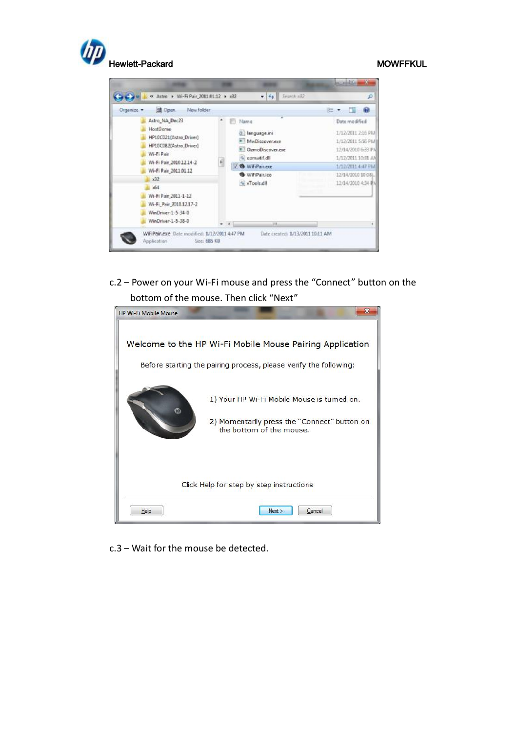

| New folder<br>Open:<br>Organize v                                                                                                                                                                                                                              |                                                                                                                                                              | 医                                                                                                                                                                  |
|----------------------------------------------------------------------------------------------------------------------------------------------------------------------------------------------------------------------------------------------------------------|--------------------------------------------------------------------------------------------------------------------------------------------------------------|--------------------------------------------------------------------------------------------------------------------------------------------------------------------|
| Astro_NA_Dec23<br>HostDenso<br>HP10C021(Astro_Driver)<br>HP10C082[Astro_Driver]<br>Wi-Fi Pair<br>Wi-Fi Pair 201012.14-2<br>Wi-Fi Pair 2011.01.12<br>32<br>$-64$<br>Wi-Fi Pair 2011-1-12<br>Wi-Fi Pair 2010.12.17-2<br>WinDriver-1-5-34-0<br>WinDriver-1-5-38-0 | Name<br>di language.ini<br><sup>#</sup> MeQiscover.exe<br># OzmoDiscover.exe<br>Ilb. http://m.co. 8<br>扁<br>J & WiFiPair.exe<br>WiFiPair.ico<br>% xTools.dll | Date modified<br>1/12/2011 2:16 PM<br>1/12/2011 5:56 PM<br>12/14/2010 6:33 PM<br>1/12/2011 10:31 AM<br>1/12/2001 4:47 PM<br>12/14/2010 10:08<br>12/14/2010 4:34 单N |

c.2 – Power on your Wi-Fi mouse and press the "Connect" button on the bottom of the mouse. Then click "Next"



c.3 – Wait for the mouse be detected.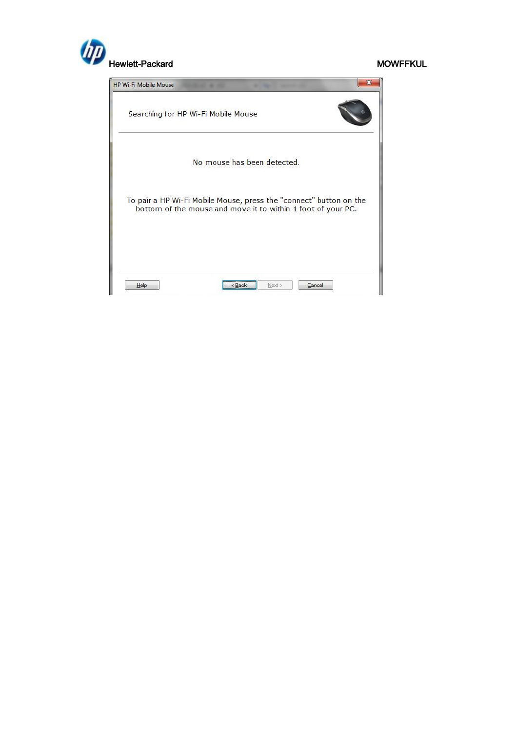

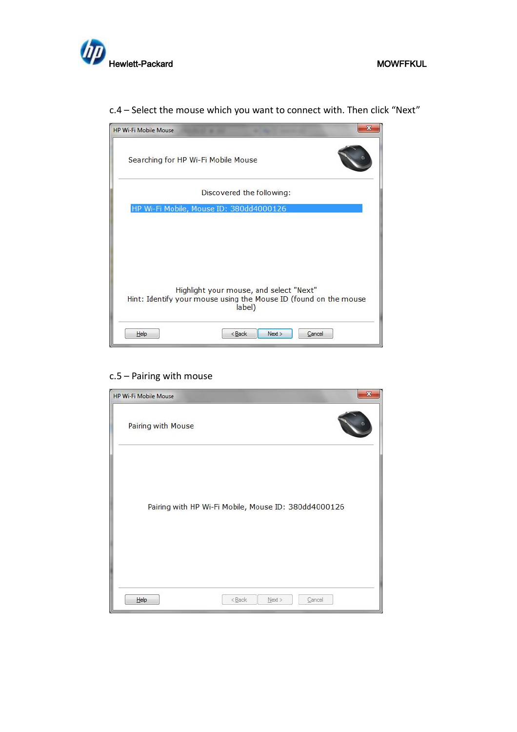

c.4 – Select the mouse which you want to connect with. Then click "Next"



## c.5 – Pairing with mouse

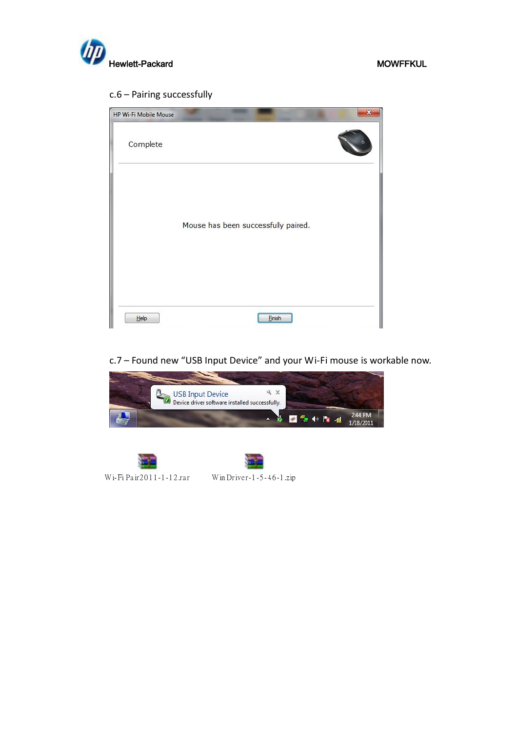

## c.6 – Pairing successfully

| Mouse has been successfully paired. |  |
|-------------------------------------|--|
|                                     |  |

## c.7 – Found new "USB Input Device" and your Wi-Fi mouse is workable now.



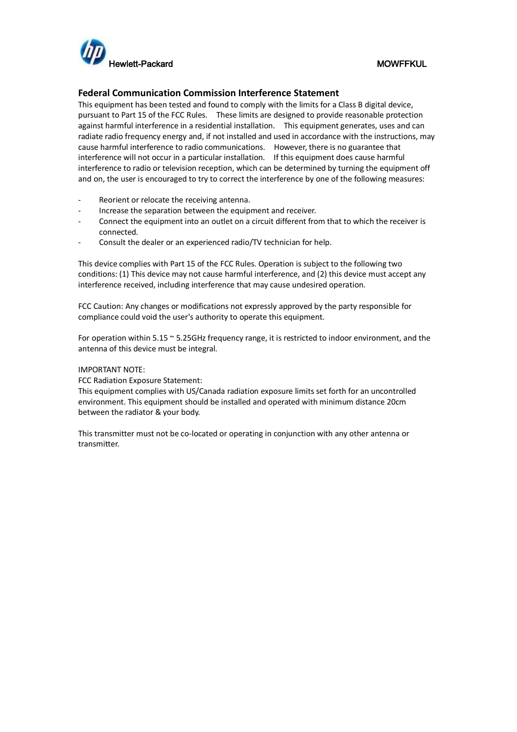

### **Federal Communication Commission Interference Statement**

This equipment has been tested and found to comply with the limits for a Class B digital device, pursuant to Part 15 of the FCC Rules. These limits are designed to provide reasonable protection against harmful interference in a residential installation. This equipment generates, uses and can radiate radio frequency energy and, if not installed and used in accordance with the instructions, may cause harmful interference to radio communications. However, there is no guarantee that interference will not occur in a particular installation. If this equipment does cause harmful interference to radio or television reception, which can be determined by turning the equipment off and on, the user is encouraged to try to correct the interference by one of the following measures:

- Reorient or relocate the receiving antenna.
- Increase the separation between the equipment and receiver.
- Connect the equipment into an outlet on a circuit different from that to which the receiver is connected.
- Consult the dealer or an experienced radio/TV technician for help.

This device complies with Part 15 of the FCC Rules. Operation is subject to the following two conditions: (1) This device may not cause harmful interference, and (2) this device must accept any interference received, including interference that may cause undesired operation.

FCC Caution: Any changes or modifications not expressly approved by the party responsible for compliance could void the user's authority to operate this equipment.

For operation within 5.15 ~ 5.25GHz frequency range, it is restricted to indoor environment, and the antenna of this device must be integral.

### IMPORTANT NOTE:

FCC Radiation Exposure Statement:

This equipment complies with US/Canada radiation exposure limits set forth for an uncontrolled environment. This equipment should be installed and operated with minimum distance 20cm between the radiator & your body.

This transmitter must not be co-located or operating in conjunction with any other antenna or transmitter.